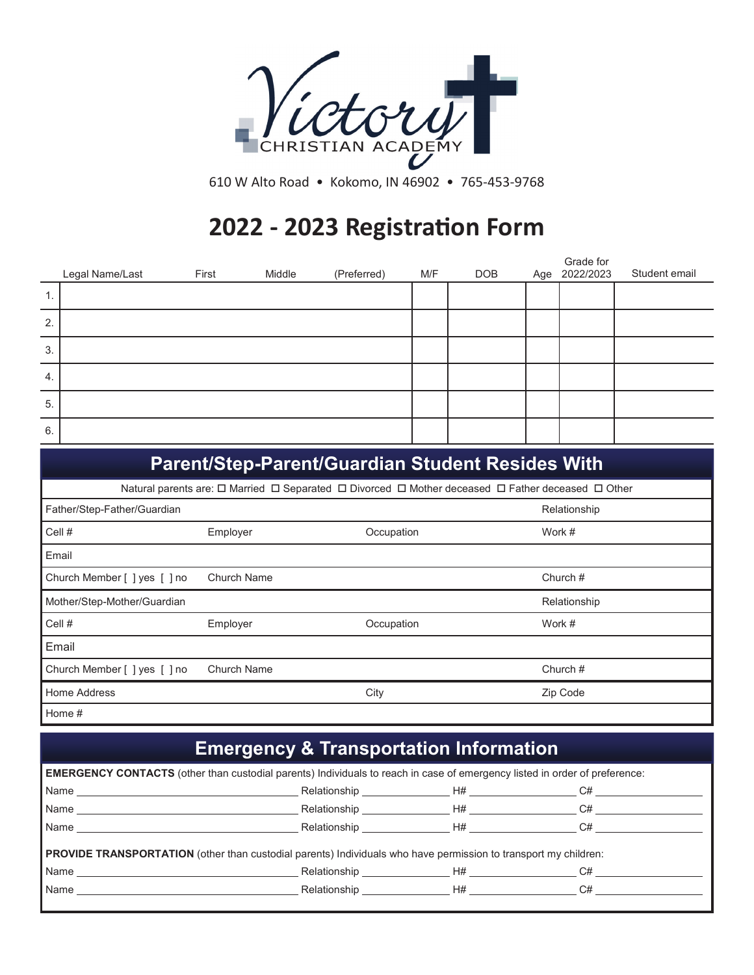

610 W Alto Road • Kokomo, IN 46902 • 765-453-9768

## **2022 - 2023 Registration Form**

|    | Legal Name/Last | First | Middle | (Preferred) | M/F | <b>DOB</b> | Grade for<br>Age 2022/2023 | Student email |
|----|-----------------|-------|--------|-------------|-----|------------|----------------------------|---------------|
| 1. |                 |       |        |             |     |            |                            |               |
| 2. |                 |       |        |             |     |            |                            |               |
| 3. |                 |       |        |             |     |            |                            |               |
| 4. |                 |       |        |             |     |            |                            |               |
| 5. |                 |       |        |             |     |            |                            |               |
| 6. |                 |       |        |             |     |            |                            |               |

|                                                                                                                                 |                    | <b>Parent/Step-Parent/Guardian Student Resides With</b> |              |  |  |
|---------------------------------------------------------------------------------------------------------------------------------|--------------------|---------------------------------------------------------|--------------|--|--|
| Natural parents are: $\Box$ Married $\Box$ Separated $\Box$ Divorced $\Box$ Mother deceased $\Box$ Father deceased $\Box$ Other |                    |                                                         |              |  |  |
| Father/Step-Father/Guardian                                                                                                     |                    |                                                         | Relationship |  |  |
| Cell#                                                                                                                           | Employer           | Occupation                                              | Work #       |  |  |
| Email                                                                                                                           |                    |                                                         |              |  |  |
| Church Member [ ] yes [ ] no                                                                                                    | <b>Church Name</b> |                                                         | Church $#$   |  |  |
| Mother/Step-Mother/Guardian                                                                                                     |                    |                                                         | Relationship |  |  |
| Cell #                                                                                                                          | Employer           | Occupation                                              | Work #       |  |  |
| Email                                                                                                                           |                    |                                                         |              |  |  |
| Church Member [ ] yes [ ] no                                                                                                    | <b>Church Name</b> |                                                         | Church $#$   |  |  |
| Home Address                                                                                                                    |                    | City                                                    | Zip Code     |  |  |
| Home #                                                                                                                          |                    |                                                         |              |  |  |

## **Emergency & Transportation Information**

|                                                                                                                                                                                                                                | <b>EMERGENCY CONTACTS</b> (other than custodial parents) Individuals to reach in case of emergency listed in order of preference: |                 |    |  |  |
|--------------------------------------------------------------------------------------------------------------------------------------------------------------------------------------------------------------------------------|-----------------------------------------------------------------------------------------------------------------------------------|-----------------|----|--|--|
| Name Name and the second contract of the second contract of the second contract of the second contract of the second contract of the second contract of the second contract of the second contract of the second contract of t |                                                                                                                                   |                 |    |  |  |
|                                                                                                                                                                                                                                |                                                                                                                                   |                 |    |  |  |
|                                                                                                                                                                                                                                |                                                                                                                                   |                 |    |  |  |
| <b>PROVIDE TRANSPORTATION</b> (other than custodial parents) Individuals who have permission to transport my children:<br>Relationship <b>H#</b> C#                                                                            |                                                                                                                                   |                 |    |  |  |
| Name                                                                                                                                                                                                                           |                                                                                                                                   | Relationship H# | C# |  |  |